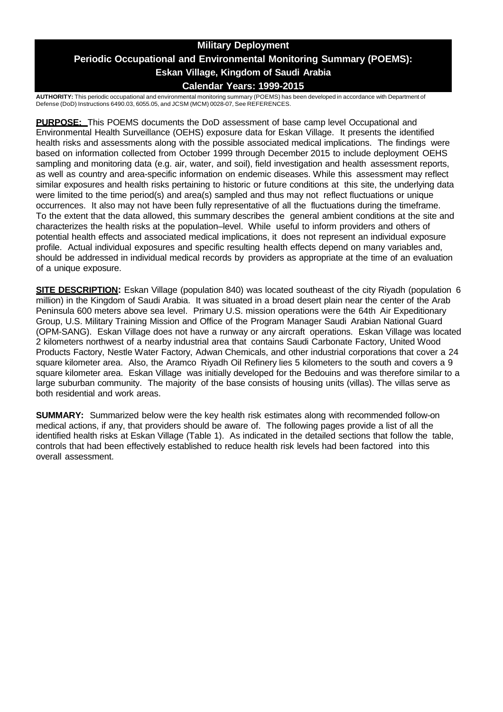## **Military Deployment Periodic Occupational and Environmental Monitoring Summary (POEMS): Eskan Village, Kingdom of Saudi Arabia Calendar Years: 1999-2015**

**AUTHORITY:** This periodic occupational and environmental monitoring summary (POEMS) has been developed in accordance with Department of Defense (DoD) Instructions 6490.03, 6055.05, and JCSM (MCM) 0028-07, See REFERENCES.

**PURPOSE:** This POEMS documents the DoD assessment of base camp level Occupational and Environmental Health Surveillance (OEHS) exposure data for Eskan Village. It presents the identified health risks and assessments along with the possible associated medical implications. The findings were based on information collected from October 1999 through December 2015 to include deployment OEHS sampling and monitoring data (e.g. air, water, and soil), field investigation and health assessment reports, as well as country and area-specific information on endemic diseases. While this assessment may reflect similar exposures and health risks pertaining to historic or future conditions at this site, the underlying data were limited to the time period(s) and area(s) sampled and thus may not reflect fluctuations or unique occurrences. It also may not have been fully representative of all the fluctuations during the timeframe. To the extent that the data allowed, this summary describes the general ambient conditions at the site and characterizes the health risks at the population–level. While useful to inform providers and others of potential health effects and associated medical implications, it does not represent an individual exposure profile. Actual individual exposures and specific resulting health effects depend on many variables and, should be addressed in individual medical records by providers as appropriate at the time of an evaluation of a unique exposure.

**SITE DESCRIPTION:** Eskan Village (population 840) was located southeast of the city Riyadh (population 6 million) in the Kingdom of Saudi Arabia. It was situated in a broad desert plain near the center of the Arab Peninsula 600 meters above sea level. Primary U.S. mission operations were the 64th Air Expeditionary Group, U.S. Military Training Mission and Office of the Program Manager Saudi Arabian National Guard (OPM-SANG). Eskan Village does not have a runway or any aircraft operations. Eskan Village was located 2 kilometers northwest of a nearby industrial area that contains Saudi Carbonate Factory, United Wood Products Factory, Nestle Water Factory, Adwan Chemicals, and other industrial corporations that cover a 24 square kilometer area. Also, the Aramco Riyadh Oil Refinery lies 5 kilometers to the south and covers a 9 square kilometer area. Eskan Village was initially developed for the Bedouins and was therefore similar to a large suburban community. The majority of the base consists of housing units (villas). The villas serve as both residential and work areas.

**SUMMARY:** Summarized below were the key health risk estimates along with recommended follow-on medical actions, if any, that providers should be aware of. The following pages provide a list of all the identified health risks at Eskan Village (Table 1). As indicated in the detailed sections that follow the table, controls that had been effectively established to reduce health risk levels had been factored into this overall assessment.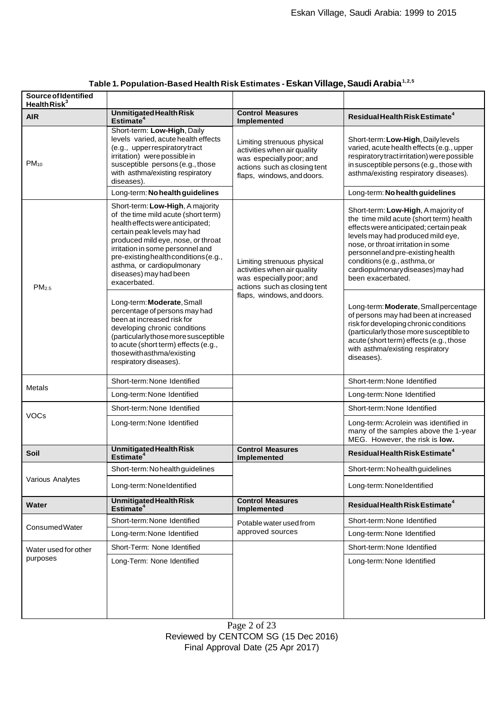| <b>Source of Identified</b><br>Health Risk $3$ |                                                                                                                                                                                                                                                                                                                                       |                                                                                                                                                      |                                                                                                                                                                                                                                                                                                                                   |
|------------------------------------------------|---------------------------------------------------------------------------------------------------------------------------------------------------------------------------------------------------------------------------------------------------------------------------------------------------------------------------------------|------------------------------------------------------------------------------------------------------------------------------------------------------|-----------------------------------------------------------------------------------------------------------------------------------------------------------------------------------------------------------------------------------------------------------------------------------------------------------------------------------|
| <b>AIR</b>                                     | <b>Unmitigated Health Risk</b><br>Estimate <sup>4</sup>                                                                                                                                                                                                                                                                               | <b>Control Measures</b><br>Implemented                                                                                                               | Residual Health Risk Estimate <sup>4</sup>                                                                                                                                                                                                                                                                                        |
| $PM_{10}$                                      | Short-term: Low-High, Daily<br>levels varied, acute health effects<br>(e.g., upper respiratory tract<br>irritation) were possible in<br>susceptible persons (e.g., those<br>with asthma/existing respiratory<br>diseases).                                                                                                            | Limiting strenuous physical<br>activities when air quality<br>was especially poor; and<br>actions such as closing tent<br>flaps, windows, and doors. | Short-term: Low-High, Dailylevels<br>varied, acute health effects (e.g., upper<br>respiratory tract irritation) were possible<br>in susceptible persons (e.g., those with<br>asthma/existing respiratory diseases).                                                                                                               |
|                                                | Long-term: No health guidelines                                                                                                                                                                                                                                                                                                       |                                                                                                                                                      | Long-term: No health guidelines                                                                                                                                                                                                                                                                                                   |
| PM <sub>2.5</sub>                              | Short-term: Low-High, A majority<br>of the time mild acute (short term)<br>health effects were anticipated;<br>certain peak levels may had<br>produced mild eye, nose, or throat<br>irritation in some personnel and<br>pre-existing health conditions (e.g.,<br>asthma, or cardiopulmonary<br>diseases) may had been<br>exacerbated. | Limiting strenuous physical<br>activities when air quality<br>was especially poor; and<br>actions such as closing tent<br>flaps, windows, and doors. | Short-term: Low-High, A majority of<br>the time mild acute (short term) health<br>effects were anticipated; certain peak<br>levels may had produced mild eye,<br>nose, or throat irritation in some<br>personnel and pre-existing health<br>conditions (e.g., asthma, or<br>cardiopulmonarydiseases) may had<br>been exacerbated. |
|                                                | Long-term: Moderate, Small<br>percentage of persons may had<br>been at increased risk for<br>developing chronic conditions<br>(particularly those more susceptible<br>to acute (short term) effects (e.g.,<br>those with asthma/existing<br>respiratory diseases).                                                                    |                                                                                                                                                      | Long-term: Moderate, Small percentage<br>of persons may had been at increased<br>risk for developing chronic conditions<br>(particularly those more susceptible to<br>acute (short term) effects (e.g., those<br>with asthma/existing respiratory<br>diseases).                                                                   |
| Metals                                         | Short-term: None Identified                                                                                                                                                                                                                                                                                                           |                                                                                                                                                      | Short-term: None Identified                                                                                                                                                                                                                                                                                                       |
|                                                | Long-term: None Identified                                                                                                                                                                                                                                                                                                            |                                                                                                                                                      | Long-term: None Identified                                                                                                                                                                                                                                                                                                        |
|                                                | Short-term: None Identified                                                                                                                                                                                                                                                                                                           |                                                                                                                                                      | Short-term: None Identified                                                                                                                                                                                                                                                                                                       |
| <b>VOCs</b>                                    | Long-term: None Identified                                                                                                                                                                                                                                                                                                            |                                                                                                                                                      | Long-term: Acrolein was identified in<br>many of the samples above the 1-year<br>MEG. However, the risk is low.                                                                                                                                                                                                                   |
| Soil                                           | <b>Unmitigated Health Risk</b><br>Estimate <sup>4</sup>                                                                                                                                                                                                                                                                               | <b>Control Measures</b><br>Implemented                                                                                                               | Residual Health Risk Estimate <sup>4</sup>                                                                                                                                                                                                                                                                                        |
| Various Analytes                               | Short-term: No health guidelines                                                                                                                                                                                                                                                                                                      |                                                                                                                                                      | Short-term: No health guidelines                                                                                                                                                                                                                                                                                                  |
|                                                | Long-term: NoneIdentified                                                                                                                                                                                                                                                                                                             |                                                                                                                                                      | Long-term: NoneIdentified                                                                                                                                                                                                                                                                                                         |
| <b>Water</b>                                   | <b>Unmitigated Health Risk</b><br>Estimate <sup>4</sup>                                                                                                                                                                                                                                                                               | <b>Control Measures</b><br>Implemented                                                                                                               | Residual Health Risk Estimate <sup>4</sup>                                                                                                                                                                                                                                                                                        |
|                                                | Short-term: None Identified                                                                                                                                                                                                                                                                                                           | Potable water used from<br>approved sources                                                                                                          | Short-term: None Identified                                                                                                                                                                                                                                                                                                       |
| <b>ConsumedWater</b>                           | Long-term: None Identified                                                                                                                                                                                                                                                                                                            |                                                                                                                                                      | Long-term: None Identified                                                                                                                                                                                                                                                                                                        |
| Water used for other                           | Short-Term: None Identified                                                                                                                                                                                                                                                                                                           |                                                                                                                                                      | Short-term: None Identified                                                                                                                                                                                                                                                                                                       |
| purposes                                       | Long-Term: None Identified                                                                                                                                                                                                                                                                                                            |                                                                                                                                                      | Long-term: None Identified                                                                                                                                                                                                                                                                                                        |

# **Table 1. Population-Based Health Risk Estimates -EskanVillage,SaudiArabia1,2,5**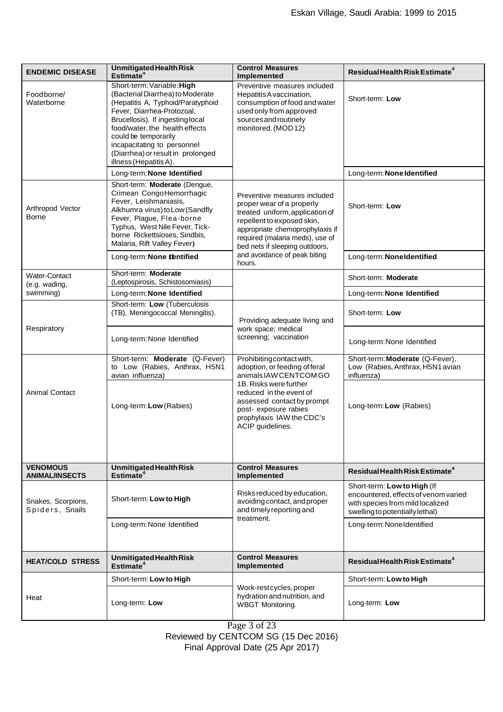| <b>ENDEMIC DISEASE</b>                   | <b>Unmitigated Health Risk</b><br>Estimate <sup>4</sup>                                                                                                                                                                                                                                                                       | <b>Control Measures</b><br>Implemented                                                                                                                                                                                                                                       | Residual Health Risk Estimate <sup>4</sup>                                                                                                 |
|------------------------------------------|-------------------------------------------------------------------------------------------------------------------------------------------------------------------------------------------------------------------------------------------------------------------------------------------------------------------------------|------------------------------------------------------------------------------------------------------------------------------------------------------------------------------------------------------------------------------------------------------------------------------|--------------------------------------------------------------------------------------------------------------------------------------------|
| Foodborne/<br>Waterborne                 | Short-term: Variable: High<br>(Bacterial Diarrhea) to Moderate<br>(Hepatitis A, Typhoid/Paratyphoid<br>Fever, Diarrhea-Protozoal,<br>Brucellosis). If ingesting local<br>food/water, the health effects<br>could be temporarily<br>incapacitating to personnel<br>(Diarrhea) or result in prolonged<br>illness (Hepatitis A). | Preventive measures included<br>Hepatitis A vaccination,<br>consumption of food and water<br>used only from approved<br>sources and routinely<br>monitored. (MOD12)                                                                                                          | Short-term: Low                                                                                                                            |
|                                          | Long-term: None Identified                                                                                                                                                                                                                                                                                                    |                                                                                                                                                                                                                                                                              | Long-term: None Identified                                                                                                                 |
| Arthropod Vector<br>Borne                | Short-term: Moderate (Dengue,<br>Crimean CongoHemorrhagic<br>Fever, Leishmaniasis,<br>Alkhumra virus) to Low (Sandfly<br>Fever, Plague, Flea-borne<br>Typhus, West Nile Fever, Tick-<br>borne Rickettsioses, Sindbis,<br>Malaria, Rift Valley Fever)                                                                          | Preventive measures included<br>proper wear of a properly<br>treated uniform, application of<br>repellent to exposed skin,<br>appropriate chemoprophylaxis if<br>required (malaria meds), use of<br>bed nets if sleeping outdoors,<br>and avoidance of peak biting<br>hours. | Short-term: Low                                                                                                                            |
|                                          | Long-term: None bentified                                                                                                                                                                                                                                                                                                     |                                                                                                                                                                                                                                                                              | Long-term: Noneldentified                                                                                                                  |
| Water-Contact<br>(e.g. wading,           | Short-term: Moderate<br>(Leptospirosis, Schistosomiasis)                                                                                                                                                                                                                                                                      |                                                                                                                                                                                                                                                                              | Short-term: Moderate                                                                                                                       |
| swimming)                                | Long-term: None Identified                                                                                                                                                                                                                                                                                                    |                                                                                                                                                                                                                                                                              | Long-term: None Identified                                                                                                                 |
|                                          | Short-term: Low (Tuberculosis<br>(TB), Meningococcal Meningitis).                                                                                                                                                                                                                                                             | Providing adequate living and<br>work space; medical<br>screening; vaccination                                                                                                                                                                                               | Short-term: Low                                                                                                                            |
| Respiratory                              | Long-term: None Identified                                                                                                                                                                                                                                                                                                    |                                                                                                                                                                                                                                                                              | Long-term: None Identified                                                                                                                 |
| <b>Animal Contact</b>                    | Short-term: Moderate (Q-Fever)<br>to Low (Rabies, Anthrax, H5N1<br>avian influenza)                                                                                                                                                                                                                                           | Prohibiting contact with,<br>adoption, or feeding of feral<br>animals IAW CENTCOM GO<br>1B. Risks were further<br>reduced in the event of<br>assessed contact by prompt<br>post- exposure rabies<br>prophylaxis IAW the CDC's<br>ACIP guidelines.                            | Short-term: Moderate (Q-Fever),<br>Low (Rabies, Anthrax, H5N1 avian<br>influenza)                                                          |
|                                          | Long-term: Low (Rabies)                                                                                                                                                                                                                                                                                                       |                                                                                                                                                                                                                                                                              | Long-term: Low (Rabies)                                                                                                                    |
| <b>VENOMOUS</b><br><b>ANIMAL/INSECTS</b> | <b>Unmitigated Health Risk</b><br>Estimate <sup>4</sup>                                                                                                                                                                                                                                                                       | <b>Control Measures</b><br><b>Implemented</b>                                                                                                                                                                                                                                | Residual Health Risk Estimate <sup>4</sup>                                                                                                 |
| Snakes, Scorpions,<br>Spiders, Snails    | Short-term: Low to High                                                                                                                                                                                                                                                                                                       | Risks reduced by education,<br>avoiding contact, and proper<br>and timely reporting and<br>treatment.                                                                                                                                                                        | Short-term: Low to High (If<br>encountered, effects of venom varied<br>with species from mild localized<br>swelling to potentially lethal) |
|                                          | Long-term: None Identified                                                                                                                                                                                                                                                                                                    |                                                                                                                                                                                                                                                                              | Long-term: NoneIdentified                                                                                                                  |
| <b>HEAT/COLD STRESS</b>                  | <b>Unmitigated Health Risk</b><br>Estimate <sup>4</sup>                                                                                                                                                                                                                                                                       | <b>Control Measures</b><br>Implemented                                                                                                                                                                                                                                       | Residual Health Risk Estimate <sup>4</sup>                                                                                                 |
|                                          | Short-term: Low to High                                                                                                                                                                                                                                                                                                       |                                                                                                                                                                                                                                                                              | Short-term: Low to High                                                                                                                    |
| Heat                                     | Long-term: Low                                                                                                                                                                                                                                                                                                                | Work-restcycles, proper<br>hydration and nutrition, and<br><b>WBGT Monitoring.</b>                                                                                                                                                                                           | Long-term: Low                                                                                                                             |

Page 3 of 23 Reviewed by CENTCOM SG (15 Dec 2016)

Final Approval Date (25 Apr 2017)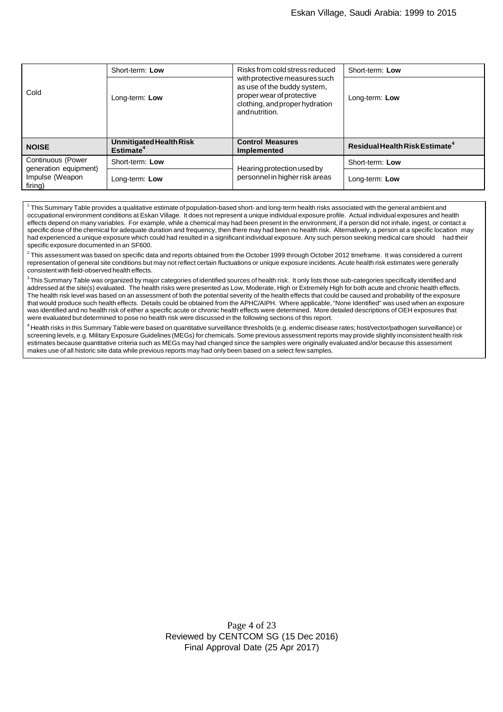| Cold                                                                     | Short-term: Low                                         | Risks from cold stress reduced<br>with protective measures such<br>as use of the buddy system,<br>proper wear of protective<br>clothing, and proper hydration<br>and nutrition. | Short-term: Low                            |
|--------------------------------------------------------------------------|---------------------------------------------------------|---------------------------------------------------------------------------------------------------------------------------------------------------------------------------------|--------------------------------------------|
|                                                                          | Long-term: Low                                          |                                                                                                                                                                                 | Long-term: Low                             |
| <b>NOISE</b>                                                             | <b>Unmitigated Health Risk</b><br>Estimate <sup>4</sup> | <b>Control Measures</b><br><b>Implemented</b>                                                                                                                                   | Residual Health Risk Estimate <sup>4</sup> |
| Continuous (Power<br>generation equipment)<br>Impulse (Weapon<br>firing) | Short-term: Low                                         | Hearing protection used by<br>personnel in higher risk areas                                                                                                                    | Short-term: Low                            |
|                                                                          | Long-term: Low                                          |                                                                                                                                                                                 | Long-term: Low                             |

 $^{\rm 1}$  This Summary Table provides a qualitative estimate of population-based short- and long-term health risks associated with the general ambient and occupational environment conditions at Eskan Village. It does not represent a unique individual exposure profile. Actual individual exposures and health effects depend on many variables. For example, while a chemical may had been present in the environment, if a person did not inhale, ingest, or contact a specific dose of the chemical for adequate duration and frequency, then there may had been no health risk. Alternatively, a person at a specific location may had experienced a unique exposure which could had resulted in a significant individual exposure. Any such person seeking medical care should had their specific exposure documented in an SF600.

 $^2$  This assessment was based on specific data and reports obtained from the October 1999 through October 2012 timeframe. It was considered a current representation of general site conditions but may not reflect certain fluctuations or unique exposure incidents. Acute health risk estimates were generally consistent with field-observed health effects.

 $^3$ This Summary Table was organized by major categories of identified sources of health risk. It only lists those sub-categories specifically identified and addressed at the site(s) evaluated. The health risks were presented as Low, Moderate, High or Extremely High for both acute and chronic health effects. The health risk level was based on an assessment of both the potential severity of the health effects that could be caused and probability of the exposure that would produce such health effects. Details could be obtained from the APHC/AIPH. Where applicable,"None Identified" was used when an exposure was identified and no health risk of either a specific acute or chronic health effects were determined. More detailed descriptions of OEH exposures that were evaluated but determined to pose no health risk were discussed in the following sections of this report.

<sup>4</sup> Health risks in this Summary Table were based on quantitative surveillance thresholds (e.g. endemic disease rates; host/vector/pathogen surveillance) or screening levels, e.g. Military Exposure Guidelines (MEGs) for chemicals. Some previous assessmentreports may provide slightly inconsistent health risk estimates because quantitative criteria such as MEGs may had changed since the samples were originally evaluated and/or because this assessment makes use of all historic site data while previous reports may had only been based on a select few samples.

> Page 4 of 23 Reviewed by CENTCOM SG (15 Dec 2016) Final Approval Date (25 Apr 2017)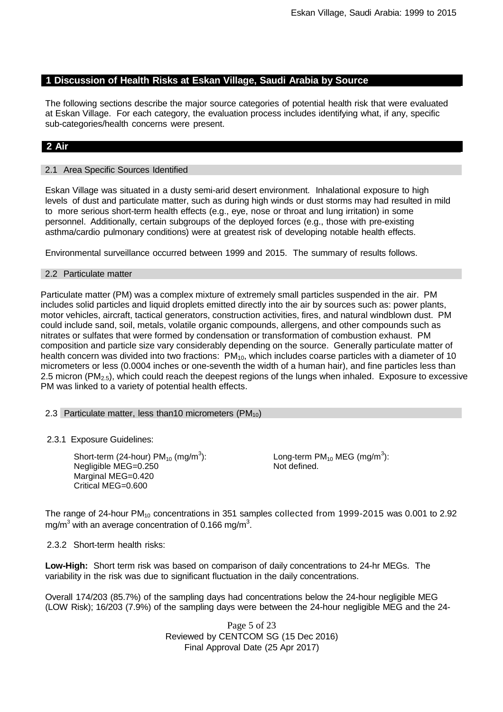## **1 Discussion of Health Risks at Eskan Village, Saudi Arabia by Source**

The following sections describe the major source categories of potential health risk that were evaluated at Eskan Village. For each category, the evaluation process includes identifying what, if any, specific sub-categories/health concerns were present.

## **2 Air**

## 2.1 Area Specific Sources Identified

Eskan Village was situated in a dusty semi-arid desert environment. Inhalational exposure to high levels of dust and particulate matter, such as during high winds or dust storms may had resulted in mild to more serious short-term health effects (e.g., eye, nose or throat and lung irritation) in some personnel. Additionally, certain subgroups of the deployed forces (e.g., those with pre-existing asthma/cardio pulmonary conditions) were at greatest risk of developing notable health effects.

Environmental surveillance occurred between 1999 and 2015. The summary of results follows.

#### 2.2 Particulate matter

Particulate matter (PM) was a complex mixture of extremely small particles suspended in the air. PM includes solid particles and liquid droplets emitted directly into the air by sources such as: power plants, motor vehicles, aircraft, tactical generators, construction activities, fires, and natural windblown dust. PM could include sand, soil, metals, volatile organic compounds, allergens, and other compounds such as nitrates or sulfates that were formed by condensation or transformation of combustion exhaust. PM composition and particle size vary considerably depending on the source. Generally particulate matter of health concern was divided into two fractions:  $PM_{10}$ , which includes coarse particles with a diameter of 10 micrometers or less (0.0004 inches or one-seventh the width of a human hair), and fine particles less than 2.5 micron (PM<sub>2.5</sub>), which could reach the deepest regions of the lungs when inhaled. Exposure to excessive PM was linked to a variety of potential health effects.

#### 2.3 Particulate matter, less than 10 micrometers ( $PM_{10}$ )

2.3.1 Exposure Guidelines:

Short-term (24-hour) PM $_{10}$  (mg/m $^3$ ): Negligible MEG=0.250 Marginal MEG=0.420 Critical MEG=0.600

Long-term PM $_{10}$  MEG (mg/m $^3$ ): Not defined.

The range of 24-hour PM<sub>10</sub> concentrations in 351 samples collected from 1999-2015 was 0.001 to 2.92 mg/m<sup>3</sup> with an average concentration of 0.166 mg/m<sup>3</sup>.

2.3.2 Short-term health risks:

**Low-High:** Short term risk was based on comparison of daily concentrations to 24-hr MEGs. The variability in the risk was due to significant fluctuation in the daily concentrations.

Overall 174/203 (85.7%) of the sampling days had concentrations below the 24-hour negligible MEG (LOW Risk); 16/203 (7.9%) of the sampling days were between the 24-hour negligible MEG and the 24-

> Page 5 of 23 Reviewed by CENTCOM SG (15 Dec 2016) Final Approval Date (25 Apr 2017)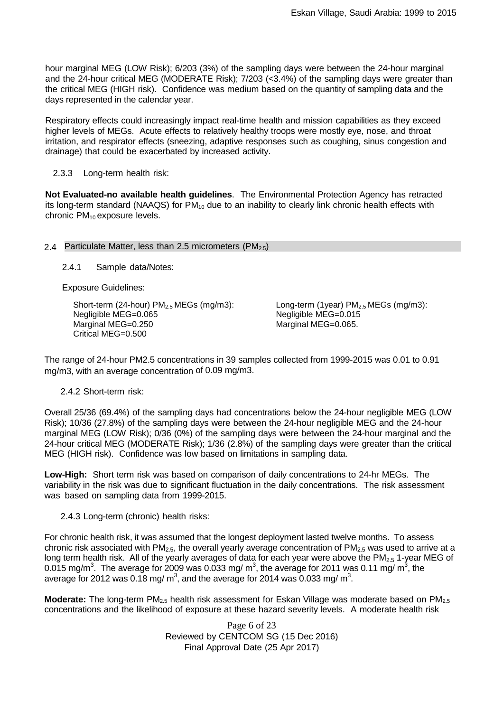hour marginal MEG (LOW Risk); 6/203 (3%) of the sampling days were between the 24-hour marginal and the 24-hour critical MEG (MODERATE Risk); 7/203 (<3.4%) of the sampling days were greater than the critical MEG (HIGH risk). Confidence was medium based on the quantity of sampling data and the days represented in the calendar year.

Respiratory effects could increasingly impact real-time health and mission capabilities as they exceed higher levels of MEGs. Acute effects to relatively healthy troops were mostly eye, nose, and throat irritation, and respirator effects (sneezing, adaptive responses such as coughing, sinus congestion and drainage) that could be exacerbated by increased activity.

## 2.3.3 Long-term health risk:

**Not Evaluated-no available health guidelines**. The Environmental Protection Agency has retracted its long-term standard (NAAQS) for  $PM_{10}$  due to an inability to clearly link chronic health effects with chronic PM<sub>10</sub> exposure levels.

## 2.4 Particulate Matter, less than 2.5 micrometers  $(PM_{2.5})$

2.4.1 Sample data/Notes:

Exposure Guidelines:

Short-term (24-hour)  $PM<sub>2.5</sub> MEGs$  (mg/m3): Negligible MEG=0.065 Marginal MEG=0.250 Critical MEG=0.500

Long-term (1year)  $PM<sub>2.5</sub> MEGs$  (mg/m3): Negligible MEG=0.015 Marginal MEG=0.065.

The range of 24-hour PM2.5 concentrations in 39 samples collected from 1999-2015 was 0.01 to 0.91 mg/m3, with an average concentration of 0.09 mg/m3.

## 2.4.2 Short-term risk:

Overall 25/36 (69.4%) of the sampling days had concentrations below the 24-hour negligible MEG (LOW Risk); 10/36 (27.8%) of the sampling days were between the 24-hour negligible MEG and the 24-hour marginal MEG (LOW Risk); 0/36 (0%) of the sampling days were between the 24-hour marginal and the 24-hour critical MEG (MODERATE Risk); 1/36 (2.8%) of the sampling days were greater than the critical MEG (HIGH risk). Confidence was low based on limitations in sampling data.

**Low-High:** Short term risk was based on comparison of daily concentrations to 24-hr MEGs. The variability in the risk was due to significant fluctuation in the daily concentrations. The risk assessment was based on sampling data from 1999-2015.

2.4.3 Long-term (chronic) health risks:

For chronic health risk, it was assumed that the longest deployment lasted twelve months. To assess chronic risk associated with  $PM<sub>2.5</sub>$ , the overall yearly average concentration of  $PM<sub>2.5</sub>$  was used to arrive at a long term health risk. All of the yearly averages of data for each year were above the  $PM<sub>2.5</sub>$  1-year MEG of 0.015 mg/m $^3$ . The average for 2009 was 0.033 mg/ m $^3$ , the average for 2011 was 0.11 mg/ m $^3$ , the average for 2012 was 0.18 mg/ m<sup>3</sup>, and the average for 2014 was 0.033 mg/ m<sup>3</sup>.

**Moderate:** The long-term PM<sub>2.5</sub> health risk assessment for Eskan Village was moderate based on PM<sub>2.5</sub> concentrations and the likelihood of exposure at these hazard severity levels. A moderate health risk

> Page 6 of 23 Reviewed by CENTCOM SG (15 Dec 2016) Final Approval Date (25 Apr 2017)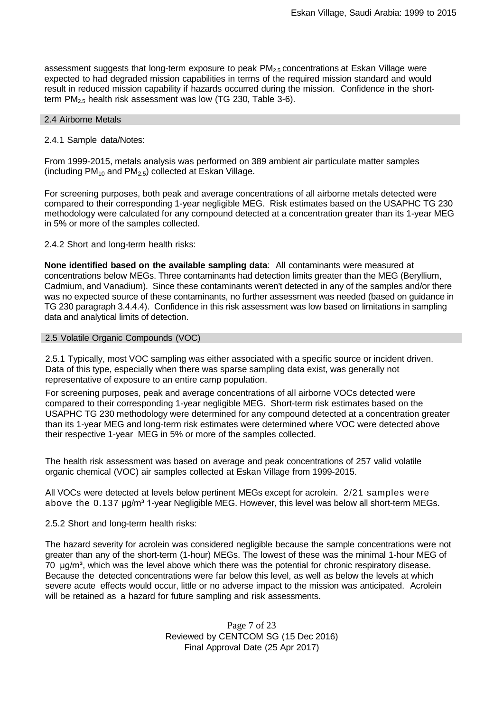assessment suggests that long-term exposure to peak  $PM_{2.5}$  concentrations at Eskan Village were expected to had degraded mission capabilities in terms of the required mission standard and would result in reduced mission capability if hazards occurred during the mission. Confidence in the shortterm PM2.5 health risk assessment was low (TG 230, Table 3-6).

## 2.4 Airborne Metals

## 2.4.1 Sample data/Notes:

From 1999-2015, metals analysis was performed on 389 ambient air particulate matter samples (including  $PM_{10}$  and  $PM_{2.5}$ ) collected at Eskan Village.

For screening purposes, both peak and average concentrations of all airborne metals detected were compared to their corresponding 1-year negligible MEG. Risk estimates based on the USAPHC TG 230 methodology were calculated for any compound detected at a concentration greater than its 1-year MEG in 5% or more of the samples collected.

2.4.2 Short and long-term health risks:

**None identified based on the available sampling data**: All contaminants were measured at concentrations below MEGs. Three contaminants had detection limits greater than the MEG (Beryllium, Cadmium, and Vanadium). Since these contaminants weren't detected in any of the samples and/or there was no expected source of these contaminants, no further assessment was needed (based on guidance in TG 230 paragraph 3.4.4.4). Confidence in this risk assessment was low based on limitations in sampling data and analytical limits of detection.

## 2.5 Volatile Organic Compounds (VOC)

2.5.1 Typically, most VOC sampling was either associated with a specific source or incident driven. Data of this type, especially when there was sparse sampling data exist, was generally not representative of exposure to an entire camp population.

For screening purposes, peak and average concentrations of all airborne VOCs detected were compared to their corresponding 1-year negligible MEG. Short-term risk estimates based on the USAPHC TG 230 methodology were determined for any compound detected at a concentration greater than its 1-year MEG and long-term risk estimates were determined where VOC were detected above their respective 1-year MEG in 5% or more of the samples collected.

The health risk assessment was based on average and peak concentrations of 257 valid volatile organic chemical (VOC) air samples collected at Eskan Village from 1999-2015.

All VOCs were detected at levels below pertinent MEGs except for acrolein. 2/21 samples were above the 0.137 μg/m<sup>3</sup> 1-year Negligible MEG. However, this level was below all short-term MEGs.

2.5.2 Short and long-term health risks:

The hazard severity for acrolein was considered negligible because the sample concentrations were not greater than any of the short-term (1-hour) MEGs. The lowest of these was the minimal 1-hour MEG of  $70 \mu g/m<sup>3</sup>$ , which was the level above which there was the potential for chronic respiratory disease. Because the detected concentrations were far below this level, as well as below the levels at which severe acute effects would occur, little or no adverse impact to the mission was anticipated. Acrolein will be retained as a hazard for future sampling and risk assessments.

> Page 7 of 23 Reviewed by CENTCOM SG (15 Dec 2016) Final Approval Date (25 Apr 2017)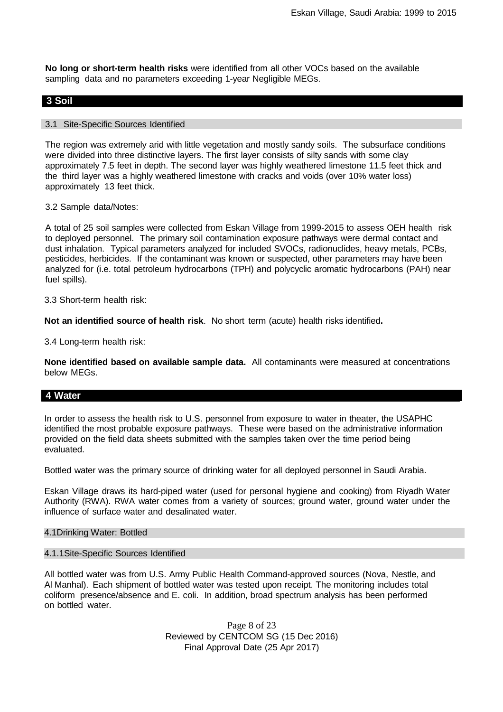**No long or short-term health risks** were identified from all other VOCs based on the available sampling data and no parameters exceeding 1-year Negligible MEGs.

## **3 Soil**

## 3.1 Site-Specific Sources Identified

The region was extremely arid with little vegetation and mostly sandy soils. The subsurface conditions were divided into three distinctive layers. The first layer consists of silty sands with some clay approximately 7.5 feet in depth. The second layer was highly weathered limestone 11.5 feet thick and the third layer was a highly weathered limestone with cracks and voids (over 10% water loss) approximately 13 feet thick.

3.2 Sample data/Notes:

A total of 25 soil samples were collected from Eskan Village from 1999-2015 to assess OEH health risk to deployed personnel. The primary soil contamination exposure pathways were dermal contact and dust inhalation. Typical parameters analyzed for included SVOCs, radionuclides, heavy metals, PCBs, pesticides, herbicides. If the contaminant was known or suspected, other parameters may have been analyzed for (i.e. total petroleum hydrocarbons (TPH) and polycyclic aromatic hydrocarbons (PAH) near fuel spills).

3.3 Short-term health risk:

**Not an identified source of health risk**. No short term (acute) health risks identified**.**

3.4 Long-term health risk:

**None identified based on available sample data.** All contaminants were measured at concentrations below MEGs.

## **4 Water**

In order to assess the health risk to U.S. personnel from exposure to water in theater, the USAPHC identified the most probable exposure pathways. These were based on the administrative information provided on the field data sheets submitted with the samples taken over the time period being evaluated.

Bottled water was the primary source of drinking water for all deployed personnel in Saudi Arabia.

Eskan Village draws its hard-piped water (used for personal hygiene and cooking) from Riyadh Water Authority (RWA). RWA water comes from a variety of sources; ground water, ground water under the influence of surface water and desalinated water.

#### 4.1Drinking Water: Bottled

## 4.1.1Site-Specific Sources Identified

All bottled water was from U.S. Army Public Health Command-approved sources (Nova, Nestle, and Al Manhal). Each shipment of bottled water was tested upon receipt. The monitoring includes total coliform presence/absence and E. coli. In addition, broad spectrum analysis has been performed on bottled water.

> Page 8 of 23 Reviewed by CENTCOM SG (15 Dec 2016) Final Approval Date (25 Apr 2017)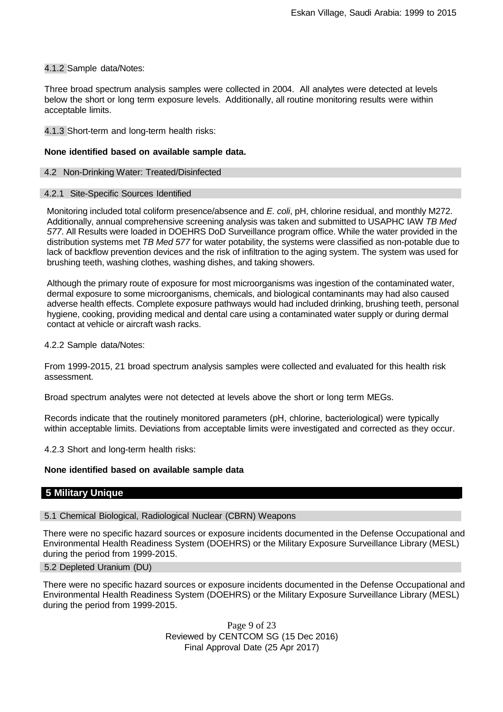## 4.1.2 Sample data/Notes:

Three broad spectrum analysis samples were collected in 2004. All analytes were detected at levels below the short or long term exposure levels. Additionally, all routine monitoring results were within acceptable limits.

4.1.3 Short-term and long-term health risks:

## **None identified based on available sample data.**

## 4.2 Non-Drinking Water: Treated/Disinfected

## 4.2.1 Site-Specific Sources Identified

Monitoring included total coliform presence/absence and *E. coli*, pH, chlorine residual, and monthly M272. Additionally, annual comprehensive screening analysis was taken and submitted to USAPHC IAW *TB Med 577*. All Results were loaded in DOEHRS DoD Surveillance program office. While the water provided in the distribution systems met *TB Med 577* for water potability, the systems were classified as non-potable due to lack of backflow prevention devices and the risk of infiltration to the aging system. The system was used for brushing teeth, washing clothes, washing dishes, and taking showers.

Although the primary route of exposure for most microorganisms was ingestion of the contaminated water, dermal exposure to some microorganisms, chemicals, and biological contaminants may had also caused adverse health effects. Complete exposure pathways would had included drinking, brushing teeth, personal hygiene, cooking, providing medical and dental care using a contaminated water supply or during dermal contact at vehicle or aircraft wash racks.

4.2.2 Sample data/Notes:

From 1999-2015, 21 broad spectrum analysis samples were collected and evaluated for this health risk assessment.

Broad spectrum analytes were not detected at levels above the short or long term MEGs.

Records indicate that the routinely monitored parameters (pH, chlorine, bacteriological) were typically within acceptable limits. Deviations from acceptable limits were investigated and corrected as they occur.

4.2.3 Short and long-term health risks:

#### **None identified based on available sample data**

## **5 Military Unique**

5.1 Chemical Biological, Radiological Nuclear (CBRN) Weapons

There were no specific hazard sources or exposure incidents documented in the Defense Occupational and Environmental Health Readiness System (DOEHRS) or the Military Exposure Surveillance Library (MESL) during the period from 1999-2015.

## 5.2 Depleted Uranium (DU)

There were no specific hazard sources or exposure incidents documented in the Defense Occupational and Environmental Health Readiness System (DOEHRS) or the Military Exposure Surveillance Library (MESL) during the period from 1999-2015.

> Page 9 of 23 Reviewed by CENTCOM SG (15 Dec 2016) Final Approval Date (25 Apr 2017)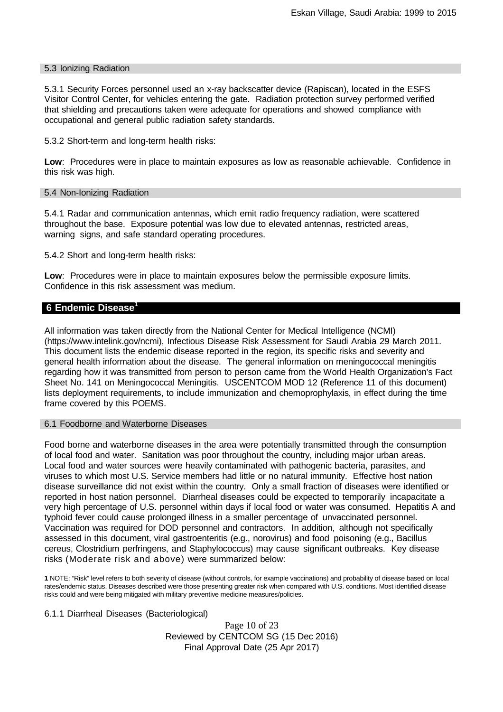#### 5.3 Ionizing Radiation

5.3.1 Security Forces personnel used an x-ray backscatter device (Rapiscan), located in the ESFS Visitor Control Center, for vehicles entering the gate. Radiation protection survey performed verified that shielding and precautions taken were adequate for operations and showed compliance with occupational and general public radiation safety standards.

5.3.2 Short-term and long-term health risks:

**Low**: Procedures were in place to maintain exposures as low as reasonable achievable. Confidence in this risk was high.

#### 5.4 Non-Ionizing Radiation

5.4.1 Radar and communication antennas, which emit radio frequency radiation, were scattered throughout the base. Exposure potential was low due to elevated antennas, restricted areas, warning signs, and safe standard operating procedures.

5.4.2 Short and long-term health risks:

**Low**: Procedures were in place to maintain exposures below the permissible exposure limits. Confidence in this risk assessment was medium.

## **6 Endemic Disease1**

All information was taken directly from the National Center for Medical Intelligence (NCMI) (https[://www.intelink.gov/ncmi\),](http://www.intelink.gov/ncmi)) Infectious Disease Risk Assessment for Saudi Arabia 29 March 2011. This document lists the endemic disease reported in the region, its specific risks and severity and general health information about the disease. The general information on meningococcal meningitis regarding how it was transmitted from person to person came from the World Health Organization's Fact Sheet No. 141 on Meningococcal Meningitis. USCENTCOM MOD 12 (Reference 11 of this document) lists deployment requirements, to include immunization and chemoprophylaxis, in effect during the time frame covered by this POEMS.

6.1 Foodborne and Waterborne Diseases

Food borne and waterborne diseases in the area were potentially transmitted through the consumption of local food and water. Sanitation was poor throughout the country, including major urban areas. Local food and water sources were heavily contaminated with pathogenic bacteria, parasites, and viruses to which most U.S. Service members had little or no natural immunity. Effective host nation disease surveillance did not exist within the country. Only a small fraction of diseases were identified or reported in host nation personnel. Diarrheal diseases could be expected to temporarily incapacitate a very high percentage of U.S. personnel within days if local food or water was consumed. Hepatitis A and typhoid fever could cause prolonged illness in a smaller percentage of unvaccinated personnel. Vaccination was required for DOD personnel and contractors. In addition, although not specifically assessed in this document, viral gastroenteritis (e.g., norovirus) and food poisoning (e.g., Bacillus cereus, Clostridium perfringens, and Staphylococcus) may cause significant outbreaks. Key disease risks (Moderate risk and above) were summarized below:

**1** NOTE: "Risk" level refers to both severity of disease (without controls, for example vaccinations) and probability of disease based on local rates/endemic status. Diseases described were those presenting greater risk when compared with U.S. conditions. Most identified disease risks could and were being mitigated with military preventive medicine measures/policies.

6.1.1 Diarrheal Diseases (Bacteriological)

Page 10 of 23 Reviewed by CENTCOM SG (15 Dec 2016) Final Approval Date (25 Apr 2017)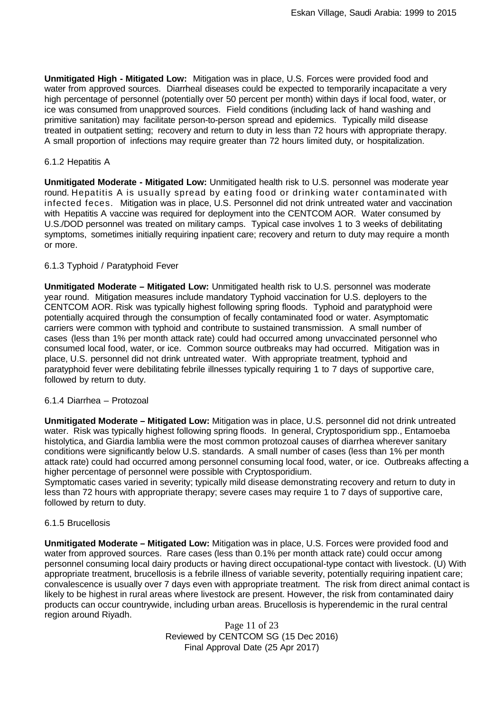**Unmitigated High - Mitigated Low:** Mitigation was in place, U.S. Forces were provided food and water from approved sources. Diarrheal diseases could be expected to temporarily incapacitate a very high percentage of personnel (potentially over 50 percent per month) within days if local food, water, or ice was consumed from unapproved sources. Field conditions (including lack of hand washing and primitive sanitation) may facilitate person-to-person spread and epidemics. Typically mild disease treated in outpatient setting; recovery and return to duty in less than 72 hours with appropriate therapy. A small proportion of infections may require greater than 72 hours limited duty, or hospitalization.

## 6.1.2 Hepatitis A

**Unmitigated Moderate - Mitigated Low:** Unmitigated health risk to U.S. personnel was moderate year round. Hepatitis A is usually spread by eating food or drinking water contaminated with infected feces. Mitigation was in place, U.S. Personnel did not drink untreated water and vaccination with Hepatitis A vaccine was required for deployment into the CENTCOM AOR. Water consumed by U.S./DOD personnel was treated on military camps. Typical case involves 1 to 3 weeks of debilitating symptoms, sometimes initially requiring inpatient care; recovery and return to duty may require a month or more.

## 6.1.3 Typhoid / Paratyphoid Fever

**Unmitigated Moderate – Mitigated Low:** Unmitigated health risk to U.S. personnel was moderate year round. Mitigation measures include mandatory Typhoid vaccination for U.S. deployers to the CENTCOM AOR. Risk was typically highest following spring floods. Typhoid and paratyphoid were potentially acquired through the consumption of fecally contaminated food or water. Asymptomatic carriers were common with typhoid and contribute to sustained transmission. A small number of cases (less than 1% per month attack rate) could had occurred among unvaccinated personnel who consumed local food, water, or ice. Common source outbreaks may had occurred. Mitigation was in place, U.S. personnel did not drink untreated water. With appropriate treatment, typhoid and paratyphoid fever were debilitating febrile illnesses typically requiring 1 to 7 days of supportive care, followed by return to duty.

#### 6.1.4 Diarrhea – Protozoal

**Unmitigated Moderate – Mitigated Low:** Mitigation was in place, U.S. personnel did not drink untreated water. Risk was typically highest following spring floods. In general, Cryptosporidium spp., Entamoeba histolytica, and Giardia lamblia were the most common protozoal causes of diarrhea wherever sanitary conditions were significantly below U.S. standards. A small number of cases (less than 1% per month attack rate) could had occurred among personnel consuming local food, water, or ice. Outbreaks affecting a higher percentage of personnel were possible with Cryptosporidium.

Symptomatic cases varied in severity; typically mild disease demonstrating recovery and return to duty in less than 72 hours with appropriate therapy; severe cases may require 1 to 7 days of supportive care, followed by return to duty.

### 6.1.5 Brucellosis

**Unmitigated Moderate – Mitigated Low:** Mitigation was in place, U.S. Forces were provided food and water from approved sources. Rare cases (less than 0.1% per month attack rate) could occur among personnel consuming local dairy products or having direct occupational-type contact with livestock. (U) With appropriate treatment, brucellosis is a febrile illness of variable severity, potentially requiring inpatient care; convalescence is usually over 7 days even with appropriate treatment. The risk from direct animal contact is likely to be highest in rural areas where livestock are present. However, the risk from contaminated dairy products can occur countrywide, including urban areas. Brucellosis is hyperendemic in the rural central region around Riyadh.

> Page 11 of 23 Reviewed by CENTCOM SG (15 Dec 2016) Final Approval Date (25 Apr 2017)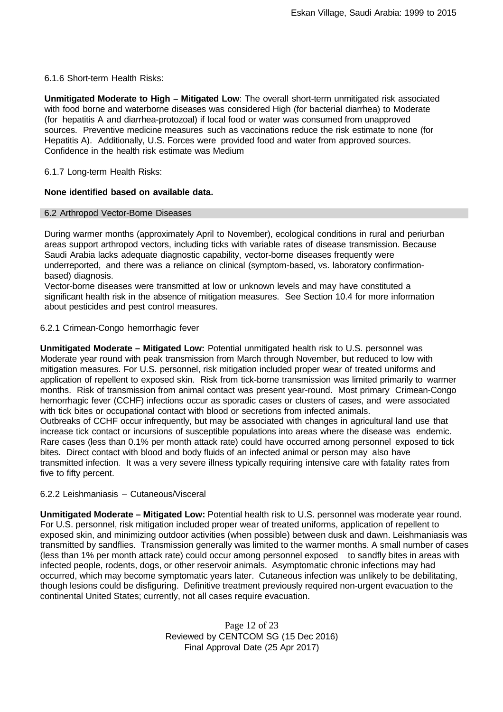6.1.6 Short-term Health Risks:

**Unmitigated Moderate to High – Mitigated Low**: The overall short-term unmitigated risk associated with food borne and waterborne diseases was considered High (for bacterial diarrhea) to Moderate (for hepatitis A and diarrhea-protozoal) if local food or water was consumed from unapproved sources. Preventive medicine measures such as vaccinations reduce the risk estimate to none (for Hepatitis A). Additionally, U.S. Forces were provided food and water from approved sources. Confidence in the health risk estimate was Medium

6.1.7 Long-term Health Risks:

## **None identified based on available data.**

#### 6.2 Arthropod Vector-Borne Diseases

During warmer months (approximately April to November), ecological conditions in rural and periurban areas support arthropod vectors, including ticks with variable rates of disease transmission. Because Saudi Arabia lacks adequate diagnostic capability, vector-borne diseases frequently were underreported, and there was a reliance on clinical (symptom-based, vs. laboratory confirmationbased) diagnosis.

Vector-borne diseases were transmitted at low or unknown levels and may have constituted a significant health risk in the absence of mitigation measures. See Section 10.4 for more information about pesticides and pest control measures.

## 6.2.1 Crimean-Congo hemorrhagic fever

**Unmitigated Moderate – Mitigated Low:** Potential unmitigated health risk to U.S. personnel was Moderate year round with peak transmission from March through November, but reduced to low with mitigation measures. For U.S. personnel, risk mitigation included proper wear of treated uniforms and application of repellent to exposed skin. Risk from tick-borne transmission was limited primarily to warmer months. Risk of transmission from animal contact was present year-round. Most primary Crimean-Congo hemorrhagic fever (CCHF) infections occur as sporadic cases or clusters of cases, and were associated with tick bites or occupational contact with blood or secretions from infected animals.

Outbreaks of CCHF occur infrequently, but may be associated with changes in agricultural land use that increase tick contact or incursions of susceptible populations into areas where the disease was endemic. Rare cases (less than 0.1% per month attack rate) could have occurred among personnel exposed to tick bites. Direct contact with blood and body fluids of an infected animal or person may also have transmitted infection. It was a very severe illness typically requiring intensive care with fatality rates from five to fifty percent.

### 6.2.2 Leishmaniasis – Cutaneous/Visceral

**Unmitigated Moderate – Mitigated Low:** Potential health risk to U.S. personnel was moderate year round. For U.S. personnel, risk mitigation included proper wear of treated uniforms, application of repellent to exposed skin, and minimizing outdoor activities (when possible) between dusk and dawn. Leishmaniasis was transmitted by sandflies. Transmission generally was limited to the warmer months. A small number of cases (less than 1% per month attack rate) could occur among personnel exposed to sandfly bites in areas with infected people, rodents, dogs, or other reservoir animals. Asymptomatic chronic infections may had occurred, which may become symptomatic years later. Cutaneous infection was unlikely to be debilitating, though lesions could be disfiguring. Definitive treatment previously required non-urgent evacuation to the continental United States; currently, not all cases require evacuation.

> Page 12 of 23 Reviewed by CENTCOM SG (15 Dec 2016) Final Approval Date (25 Apr 2017)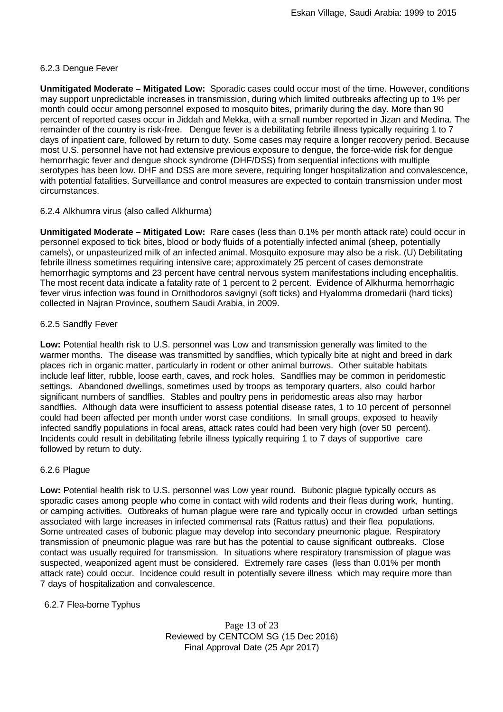## 6.2.3 Dengue Fever

**Unmitigated Moderate – Mitigated Low:** Sporadic cases could occur most of the time. However, conditions may support unpredictable increases in transmission, during which limited outbreaks affecting up to 1% per month could occur among personnel exposed to mosquito bites, primarily during the day. More than 90 percent of reported cases occur in Jiddah and Mekka, with a small number reported in Jizan and Medina. The remainder of the country is risk-free. Dengue fever is a debilitating febrile illness typically requiring 1 to 7 days of inpatient care, followed by return to duty. Some cases may require a longer recovery period. Because most U.S. personnel have not had extensive previous exposure to dengue, the force-wide risk for dengue hemorrhagic fever and dengue shock syndrome (DHF/DSS) from sequential infections with multiple serotypes has been low. DHF and DSS are more severe, requiring longer hospitalization and convalescence, with potential fatalities. Surveillance and control measures are expected to contain transmission under most circumstances.

## 6.2.4 Alkhumra virus (also called Alkhurma)

**Unmitigated Moderate – Mitigated Low:** Rare cases (less than 0.1% per month attack rate) could occur in personnel exposed to tick bites, blood or body fluids of a potentially infected animal (sheep, potentially camels), or unpasteurized milk of an infected animal. Mosquito exposure may also be a risk. (U) Debilitating febrile illness sometimes requiring intensive care; approximately 25 percent of cases demonstrate hemorrhagic symptoms and 23 percent have central nervous system manifestations including encephalitis. The most recent data indicate a fatality rate of 1 percent to 2 percent. Evidence of Alkhurma hemorrhagic fever virus infection was found in Ornithodoros savignyi (soft ticks) and Hyalomma dromedarii (hard ticks) collected in Najran Province, southern Saudi Arabia, in 2009.

## 6.2.5 Sandfly Fever

**Low:** Potential health risk to U.S. personnel was Low and transmission generally was limited to the warmer months. The disease was transmitted by sandflies, which typically bite at night and breed in dark places rich in organic matter, particularly in rodent or other animal burrows. Other suitable habitats include leaf litter, rubble, loose earth, caves, and rock holes. Sandflies may be common in peridomestic settings. Abandoned dwellings, sometimes used by troops as temporary quarters, also could harbor significant numbers of sandflies. Stables and poultry pens in peridomestic areas also may harbor sandflies. Although data were insufficient to assess potential disease rates, 1 to 10 percent of personnel could had been affected per month under worst case conditions. In small groups, exposed to heavily infected sandfly populations in focal areas, attack rates could had been very high (over 50 percent). Incidents could result in debilitating febrile illness typically requiring 1 to 7 days of supportive care followed by return to duty.

## 6.2.6 Plague

**Low:** Potential health risk to U.S. personnel was Low year round. Bubonic plague typically occurs as sporadic cases among people who come in contact with wild rodents and their fleas during work, hunting, or camping activities. Outbreaks of human plague were rare and typically occur in crowded urban settings associated with large increases in infected commensal rats (Rattus rattus) and their flea populations. Some untreated cases of bubonic plague may develop into secondary pneumonic plague. Respiratory transmission of pneumonic plague was rare but has the potential to cause significant outbreaks. Close contact was usually required for transmission. In situations where respiratory transmission of plague was suspected, weaponized agent must be considered. Extremely rare cases (less than 0.01% per month attack rate) could occur. Incidence could result in potentially severe illness which may require more than 7 days of hospitalization and convalescence.

## 6.2.7 Flea-borne Typhus

Page 13 of 23 Reviewed by CENTCOM SG (15 Dec 2016) Final Approval Date (25 Apr 2017)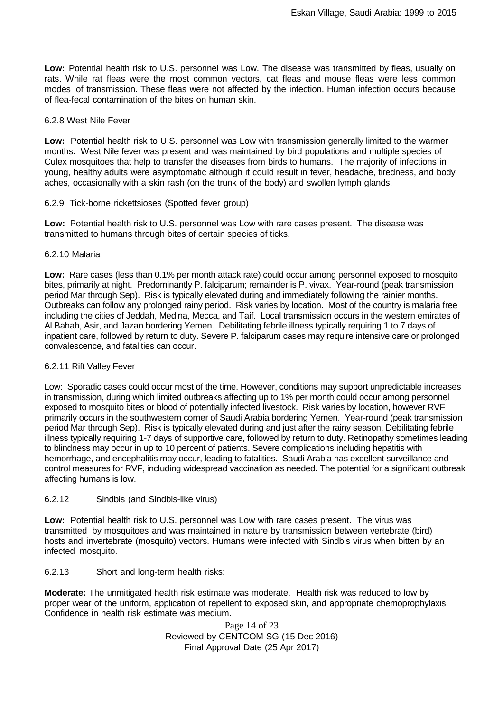**Low:** Potential health risk to U.S. personnel was Low. The disease was transmitted by fleas, usually on rats. While rat fleas were the most common vectors, cat fleas and mouse fleas were less common modes of transmission. These fleas were not affected by the infection. Human infection occurs because of flea-fecal contamination of the bites on human skin.

## 6.2.8 West Nile Fever

**Low:** Potential health risk to U.S. personnel was Low with transmission generally limited to the warmer months. West Nile fever was present and was maintained by bird populations and multiple species of Culex mosquitoes that help to transfer the diseases from birds to humans. The majority of infections in young, healthy adults were asymptomatic although it could result in fever, headache, tiredness, and body aches, occasionally with a skin rash (on the trunk of the body) and swollen lymph glands.

## 6.2.9 Tick-borne rickettsioses (Spotted fever group)

**Low:** Potential health risk to U.S. personnel was Low with rare cases present. The disease was transmitted to humans through bites of certain species of ticks.

## 6.2.10 Malaria

**Low:** Rare cases (less than 0.1% per month attack rate) could occur among personnel exposed to mosquito bites, primarily at night. Predominantly P. falciparum; remainder is P. vivax. Year-round (peak transmission period Mar through Sep). Risk is typically elevated during and immediately following the rainier months. Outbreaks can follow any prolonged rainy period. Risk varies by location. Most of the country is malaria free including the cities of Jeddah, Medina, Mecca, and Taif. Local transmission occurs in the western emirates of Al Bahah, Asir, and Jazan bordering Yemen. Debilitating febrile illness typically requiring 1 to 7 days of inpatient care, followed by return to duty. Severe P. falciparum cases may require intensive care or prolonged convalescence, and fatalities can occur.

## 6.2.11 Rift Valley Fever

Low: Sporadic cases could occur most of the time. However, conditions may support unpredictable increases in transmission, during which limited outbreaks affecting up to 1% per month could occur among personnel exposed to mosquito bites or blood of potentially infected livestock. Risk varies by location, however RVF primarily occurs in the southwestern corner of Saudi Arabia bordering Yemen. Year-round (peak transmission period Mar through Sep). Risk is typically elevated during and just after the rainy season. Debilitating febrile illness typically requiring 1-7 days of supportive care, followed by return to duty. Retinopathy sometimes leading to blindness may occur in up to 10 percent of patients. Severe complications including hepatitis with hemorrhage, and encephalitis may occur, leading to fatalities. Saudi Arabia has excellent surveillance and control measures for RVF, including widespread vaccination as needed. The potential for a significant outbreak affecting humans is low.

## 6.2.12 Sindbis (and Sindbis-like virus)

**Low:** Potential health risk to U.S. personnel was Low with rare cases present. The virus was transmitted by mosquitoes and was maintained in nature by transmission between vertebrate (bird) hosts and invertebrate (mosquito) vectors. Humans were infected with Sindbis virus when bitten by an infected mosquito.

## 6.2.13 Short and long-term health risks:

**Moderate:** The unmitigated health risk estimate was moderate. Health risk was reduced to low by proper wear of the uniform, application of repellent to exposed skin, and appropriate chemoprophylaxis. Confidence in health risk estimate was medium.

> Page 14 of 23 Reviewed by CENTCOM SG (15 Dec 2016) Final Approval Date (25 Apr 2017)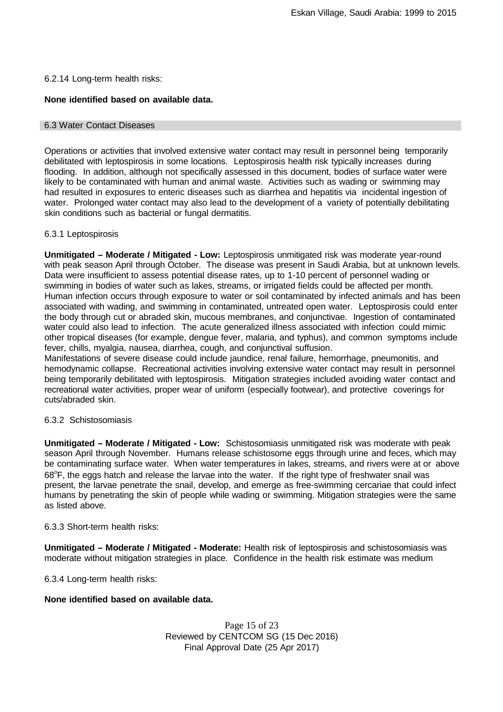## 6.2.14 Long-term health risks:

## **None identified based on available data.**

#### 6.3 Water Contact Diseases

Operations or activities that involved extensive water contact may result in personnel being temporarily debilitated with leptospirosis in some locations. Leptospirosis health risk typically increases during flooding. In addition, although not specifically assessed in this document, bodies of surface water were likely to be contaminated with human and animal waste. Activities such as wading or swimming may had resulted in exposures to enteric diseases such as diarrhea and hepatitis via incidental ingestion of water. Prolonged water contact may also lead to the development of a variety of potentially debilitating skin conditions such as bacterial or fungal dermatitis.

#### 6.3.1 Leptospirosis

**Unmitigated – Moderate / Mitigated - Low:** Leptospirosis unmitigated risk was moderate year-round with peak season April through October. The disease was present in Saudi Arabia, but at unknown levels. Data were insufficient to assess potential disease rates, up to 1-10 percent of personnel wading or swimming in bodies of water such as lakes, streams, or irrigated fields could be affected per month. Human infection occurs through exposure to water or soil contaminated by infected animals and has been associated with wading, and swimming in contaminated, untreated open water. Leptospirosis could enter the body through cut or abraded skin, mucous membranes, and conjunctivae. Ingestion of contaminated water could also lead to infection. The acute generalized illness associated with infection could mimic other tropical diseases (for example, dengue fever, malaria, and typhus), and common symptoms include fever, chills, myalgia, nausea, diarrhea, cough, and conjunctival suffusion.

Manifestations of severe disease could include jaundice, renal failure, hemorrhage, pneumonitis, and hemodynamic collapse. Recreational activities involving extensive water contact may result in personnel being temporarily debilitated with leptospirosis. Mitigation strategies included avoiding water contact and recreational water activities, proper wear of uniform (especially footwear), and protective coverings for cuts/abraded skin.

#### 6.3.2 Schistosomiasis

**Unmitigated – Moderate / Mitigated - Low:** Schistosomiasis unmitigated risk was moderate with peak season April through November. Humans release schistosome eggs through urine and feces, which may be contaminating surface water. When water temperatures in lakes, streams, and rivers were at or above 68 $\mathrm{^{\circ}F}$ , the eggs hatch and release the larvae into the water. If the right type of freshwater snail was present, the larvae penetrate the snail, develop, and emerge as free-swimming cercariae that could infect humans by penetrating the skin of people while wading or swimming. Mitigation strategies were the same as listed above.

#### 6.3.3 Short-term health risks:

**Unmitigated – Moderate / Mitigated - Moderate:** Health risk of leptospirosis and schistosomiasis was moderate without mitigation strategies in place. Confidence in the health risk estimate was medium

6.3.4 Long-term health risks:

## **None identified based on available data.**

Page 15 of 23 Reviewed by CENTCOM SG (15 Dec 2016) Final Approval Date (25 Apr 2017)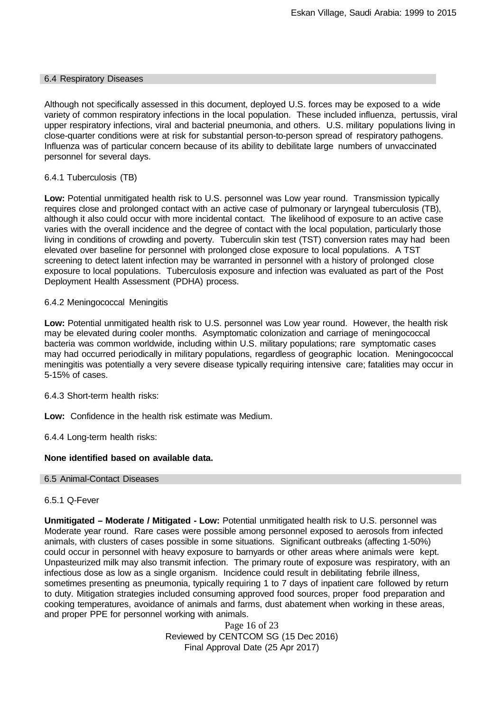#### 6.4 Respiratory Diseases

Although not specifically assessed in this document, deployed U.S. forces may be exposed to a wide variety of common respiratory infections in the local population. These included influenza, pertussis, viral upper respiratory infections, viral and bacterial pneumonia, and others. U.S. military populations living in close-quarter conditions were at risk for substantial person-to-person spread of respiratory pathogens. Influenza was of particular concern because of its ability to debilitate large numbers of unvaccinated personnel for several days.

## 6.4.1 Tuberculosis (TB)

**Low:** Potential unmitigated health risk to U.S. personnel was Low year round. Transmission typically requires close and prolonged contact with an active case of pulmonary or laryngeal tuberculosis (TB), although it also could occur with more incidental contact. The likelihood of exposure to an active case varies with the overall incidence and the degree of contact with the local population, particularly those living in conditions of crowding and poverty. Tuberculin skin test (TST) conversion rates may had been elevated over baseline for personnel with prolonged close exposure to local populations. A TST screening to detect latent infection may be warranted in personnel with a history of prolonged close exposure to local populations. Tuberculosis exposure and infection was evaluated as part of the Post Deployment Health Assessment (PDHA) process.

## 6.4.2 Meningococcal Meningitis

**Low:** Potential unmitigated health risk to U.S. personnel was Low year round. However, the health risk may be elevated during cooler months. Asymptomatic colonization and carriage of meningococcal bacteria was common worldwide, including within U.S. military populations; rare symptomatic cases may had occurred periodically in military populations, regardless of geographic location. Meningococcal meningitis was potentially a very severe disease typically requiring intensive care; fatalities may occur in 5-15% of cases.

6.4.3 Short-term health risks:

**Low:** Confidence in the health risk estimate was Medium.

6.4.4 Long-term health risks:

#### **None identified based on available data.**

#### 6.5 Animal-Contact Diseases

#### 6.5.1 Q-Fever

**Unmitigated – Moderate / Mitigated - Low:** Potential unmitigated health risk to U.S. personnel was Moderate year round. Rare cases were possible among personnel exposed to aerosols from infected animals, with clusters of cases possible in some situations. Significant outbreaks (affecting 1-50%) could occur in personnel with heavy exposure to barnyards or other areas where animals were kept. Unpasteurized milk may also transmit infection. The primary route of exposure was respiratory, with an infectious dose as low as a single organism. Incidence could result in debilitating febrile illness, sometimes presenting as pneumonia, typically requiring 1 to 7 days of inpatient care followed by return to duty. Mitigation strategies included consuming approved food sources, proper food preparation and cooking temperatures, avoidance of animals and farms, dust abatement when working in these areas, and proper PPE for personnel working with animals.

> Page 16 of 23 Reviewed by CENTCOM SG (15 Dec 2016) Final Approval Date (25 Apr 2017)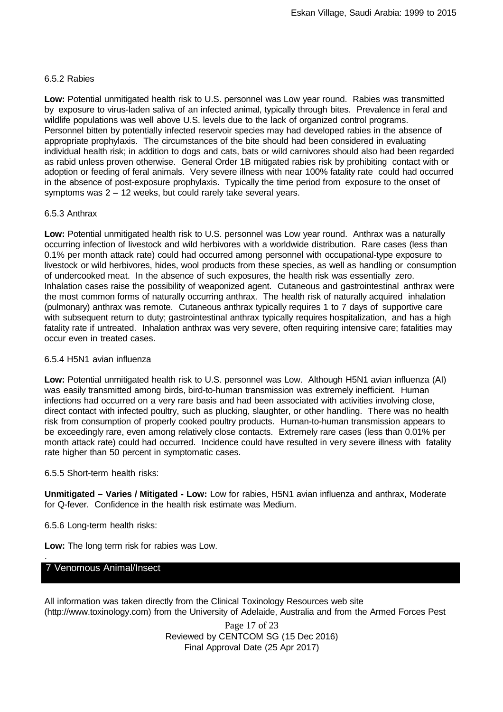## 6.5.2 Rabies

**Low:** Potential unmitigated health risk to U.S. personnel was Low year round. Rabies was transmitted by exposure to virus-laden saliva of an infected animal, typically through bites. Prevalence in feral and wildlife populations was well above U.S. levels due to the lack of organized control programs. Personnel bitten by potentially infected reservoir species may had developed rabies in the absence of appropriate prophylaxis. The circumstances of the bite should had been considered in evaluating individual health risk; in addition to dogs and cats, bats or wild carnivores should also had been regarded as rabid unless proven otherwise. General Order 1B mitigated rabies risk by prohibiting contact with or adoption or feeding of feral animals. Very severe illness with near 100% fatality rate could had occurred in the absence of post-exposure prophylaxis. Typically the time period from exposure to the onset of symptoms was 2 – 12 weeks, but could rarely take several years.

## 6.5.3 Anthrax

**Low:** Potential unmitigated health risk to U.S. personnel was Low year round. Anthrax was a naturally occurring infection of livestock and wild herbivores with a worldwide distribution. Rare cases (less than 0.1% per month attack rate) could had occurred among personnel with occupational-type exposure to livestock or wild herbivores, hides, wool products from these species, as well as handling or consumption of undercooked meat. In the absence of such exposures, the health risk was essentially zero. Inhalation cases raise the possibility of weaponized agent. Cutaneous and gastrointestinal anthrax were the most common forms of naturally occurring anthrax. The health risk of naturally acquired inhalation (pulmonary) anthrax was remote. Cutaneous anthrax typically requires 1 to 7 days of supportive care with subsequent return to duty; gastrointestinal anthrax typically requires hospitalization, and has a high fatality rate if untreated. Inhalation anthrax was very severe, often requiring intensive care; fatalities may occur even in treated cases.

## 6.5.4 H5N1 avian influenza

**Low:** Potential unmitigated health risk to U.S. personnel was Low. Although H5N1 avian influenza (AI) was easily transmitted among birds, bird-to-human transmission was extremely inefficient. Human infections had occurred on a very rare basis and had been associated with activities involving close, direct contact with infected poultry, such as plucking, slaughter, or other handling. There was no health risk from consumption of properly cooked poultry products. Human-to-human transmission appears to be exceedingly rare, even among relatively close contacts. Extremely rare cases (less than 0.01% per month attack rate) could had occurred. Incidence could have resulted in very severe illness with fatality rate higher than 50 percent in symptomatic cases.

## 6.5.5 Short-term health risks:

**Unmitigated – Varies / Mitigated - Low:** Low for rabies, H5N1 avian influenza and anthrax, Moderate for Q-fever. Confidence in the health risk estimate was Medium.

6.5.6 Long-term health risks:

**Low:** The long term risk for rabies was Low.

## 7 Venomous Animal/Insect

.

All information was taken directly from the Clinical Toxinology Resources web site (http://www.toxinology.com) from the University of Adelaide, Australia and from the Armed Forces Pest

> Page 17 of 23 Reviewed by CENTCOM SG (15 Dec 2016) Final Approval Date (25 Apr 2017)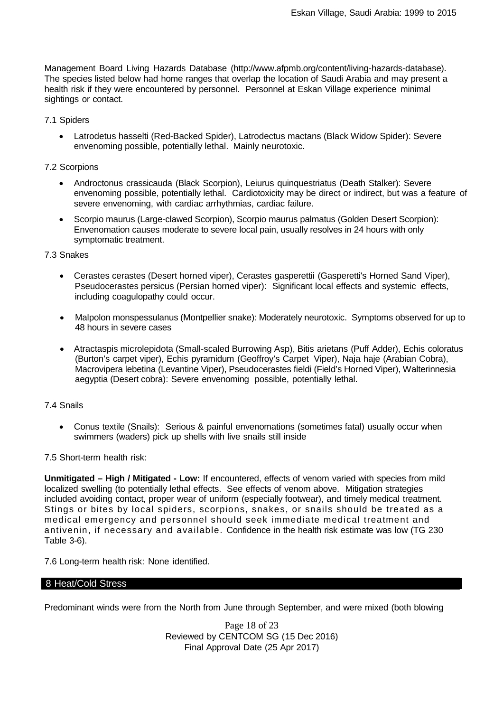Management Board Living Hazards Database [\(http://www.afpmb.org/content/living-hazards-database\).](http://www.afpmb.org/content/living-hazards-database)) The species listed below had home ranges that overlap the location of Saudi Arabia and may present a health risk if they were encountered by personnel. Personnel at Eskan Village experience minimal sightings or contact.

## 7.1 Spiders

• Latrodetus hasselti (Red-Backed Spider), Latrodectus mactans (Black Widow Spider): Severe envenoming possible, potentially lethal. Mainly neurotoxic.

## 7.2 Scorpions

- Androctonus crassicauda (Black Scorpion), Leiurus quinquestriatus (Death Stalker): Severe envenoming possible, potentially lethal. Cardiotoxicity may be direct or indirect, but was a feature of severe envenoming, with cardiac arrhythmias, cardiac failure.
- Scorpio maurus (Large-clawed Scorpion), Scorpio maurus palmatus (Golden Desert Scorpion): Envenomation causes moderate to severe local pain, usually resolves in 24 hours with only symptomatic treatment.

#### 7.3 Snakes

- Cerastes cerastes (Desert horned viper), Cerastes gasperettii (Gasperetti's Horned Sand Viper), Pseudocerastes persicus (Persian horned viper): Significant local effects and systemic effects, including coagulopathy could occur.
- Malpolon monspessulanus (Montpellier snake): Moderately neurotoxic. Symptoms observed for up to 48 hours in severe cases
- Atractaspis microlepidota (Small-scaled Burrowing Asp), Bitis arietans (Puff Adder), Echis coloratus (Burton's carpet viper), Echis pyramidum (Geoffroy's Carpet Viper), Naja haje (Arabian Cobra), Macrovipera lebetina (Levantine Viper), Pseudocerastes fieldi (Field's Horned Viper), Walterinnesia aegyptia (Desert cobra): Severe envenoming possible, potentially lethal.

## 7.4 Snails

• Conus textile (Snails): Serious & painful envenomations (sometimes fatal) usually occur when swimmers (waders) pick up shells with live snails still inside

## 7.5 Short-term health risk:

**Unmitigated – High / Mitigated - Low:** If encountered, effects of venom varied with species from mild localized swelling (to potentially lethal effects. See effects of venom above. Mitigation strategies included avoiding contact, proper wear of uniform (especially footwear), and timely medical treatment. Stings or bites by local spiders, scorpions, snakes, or snails should be treated as a medical emergency and personnel should seek immediate medical treatment and antivenin, if necessary and available. Confidence in the health risk estimate was low (TG 230 Table 3-6).

7.6 Long-term health risk: None identified.

#### 8 Heat/Cold Stress

Predominant winds were from the North from June through September, and were mixed (both blowing

Page 18 of 23 Reviewed by CENTCOM SG (15 Dec 2016) Final Approval Date (25 Apr 2017)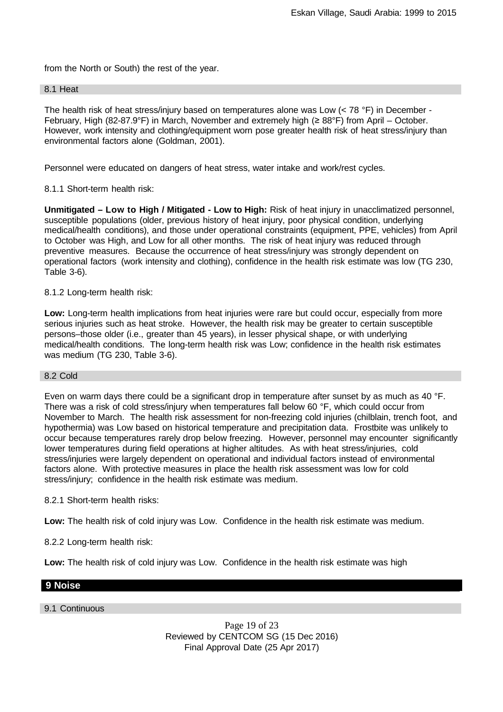from the North or South) the rest of the year.

## 8.1 Heat

The health risk of heat stress/injury based on temperatures alone was Low  $(< 78 \degree F)$  in December -February, High (82-87.9°F) in March, November and extremely high (≥ 88°F) from April – October. However, work intensity and clothing/equipment worn pose greater health risk of heat stress/injury than environmental factors alone (Goldman, 2001).

Personnel were educated on dangers of heat stress, water intake and work/rest cycles.

8.1.1 Short-term health risk:

**Unmitigated – Low to High / Mitigated - Low to High:** Risk of heat injury in unacclimatized personnel, susceptible populations (older, previous history of heat injury, poor physical condition, underlying medical/health conditions), and those under operational constraints (equipment, PPE, vehicles) from April to October was High, and Low for all other months. The risk of heat injury was reduced through preventive measures. Because the occurrence of heat stress/injury was strongly dependent on operational factors (work intensity and clothing), confidence in the health risk estimate was low (TG 230, Table 3-6).

#### 8.1.2 Long-term health risk:

**Low:** Long-term health implications from heat injuries were rare but could occur, especially from more serious injuries such as heat stroke. However, the health risk may be greater to certain susceptible persons–those older (i.e., greater than 45 years), in lesser physical shape, or with underlying medical/health conditions. The long-term health risk was Low; confidence in the health risk estimates was medium (TG 230, Table 3-6).

## 8.2 Cold

Even on warm days there could be a significant drop in temperature after sunset by as much as 40 °F. There was a risk of cold stress/injury when temperatures fall below 60 °F, which could occur from November to March. The health risk assessment for non-freezing cold injuries (chilblain, trench foot, and hypothermia) was Low based on historical temperature and precipitation data. Frostbite was unlikely to occur because temperatures rarely drop below freezing. However, personnel may encounter significantly lower temperatures during field operations at higher altitudes. As with heat stress/injuries, cold stress/injuries were largely dependent on operational and individual factors instead of environmental factors alone. With protective measures in place the health risk assessment was low for cold stress/injury; confidence in the health risk estimate was medium.

#### 8.2.1 Short-term health risks:

**Low:** The health risk of cold injury was Low. Confidence in the health risk estimate was medium.

8.2.2 Long-term health risk:

**Low:** The health risk of cold injury was Low. Confidence in the health risk estimate was high

## **9 Noise**

## 9.1 Continuous

Page 19 of 23 Reviewed by CENTCOM SG (15 Dec 2016) Final Approval Date (25 Apr 2017)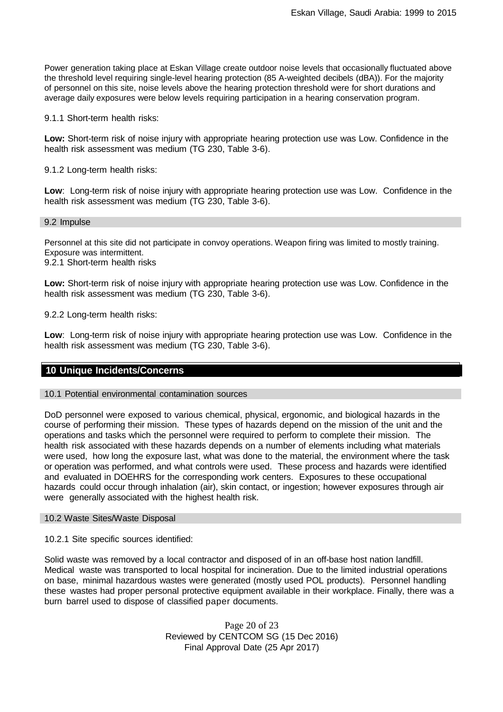Power generation taking place at Eskan Village create outdoor noise levels that occasionally fluctuated above the threshold level requiring single-level hearing protection (85 A-weighted decibels (dBA)). For the majority of personnel on this site, noise levels above the hearing protection threshold were for short durations and average daily exposures were below levels requiring participation in a hearing conservation program.

9.1.1 Short-term health risks:

**Low:** Short-term risk of noise injury with appropriate hearing protection use was Low. Confidence in the health risk assessment was medium (TG 230, Table 3-6).

9.1.2 Long-term health risks:

**Low**: Long-term risk of noise injury with appropriate hearing protection use was Low. Confidence in the health risk assessment was medium (TG 230, Table 3-6).

9.2 Impulse

Personnel at this site did not participate in convoy operations. Weapon firing was limited to mostly training. Exposure was intermittent.

9.2.1 Short-term health risks

**Low:** Short-term risk of noise injury with appropriate hearing protection use was Low. Confidence in the health risk assessment was medium (TG 230, Table 3-6).

9.2.2 Long-term health risks:

**Low**: Long-term risk of noise injury with appropriate hearing protection use was Low. Confidence in the health risk assessment was medium (TG 230, Table 3-6).

## **10 Unique Incidents/Concerns**

#### 10.1 Potential environmental contamination sources

DoD personnel were exposed to various chemical, physical, ergonomic, and biological hazards in the course of performing their mission. These types of hazards depend on the mission of the unit and the operations and tasks which the personnel were required to perform to complete their mission. The health risk associated with these hazards depends on a number of elements including what materials were used, how long the exposure last, what was done to the material, the environment where the task or operation was performed, and what controls were used. These process and hazards were identified and evaluated in DOEHRS for the corresponding work centers. Exposures to these occupational hazards could occur through inhalation (air), skin contact, or ingestion; however exposures through air were generally associated with the highest health risk.

#### 10.2 Waste Sites/Waste Disposal

10.2.1 Site specific sources identified:

Solid waste was removed by a local contractor and disposed of in an off-base host nation landfill. Medical waste was transported to local hospital for incineration. Due to the limited industrial operations on base, minimal hazardous wastes were generated (mostly used POL products). Personnel handling these wastes had proper personal protective equipment available in their workplace. Finally, there was a burn barrel used to dispose of classified paper documents.

> Page 20 of 23 Reviewed by CENTCOM SG (15 Dec 2016) Final Approval Date (25 Apr 2017)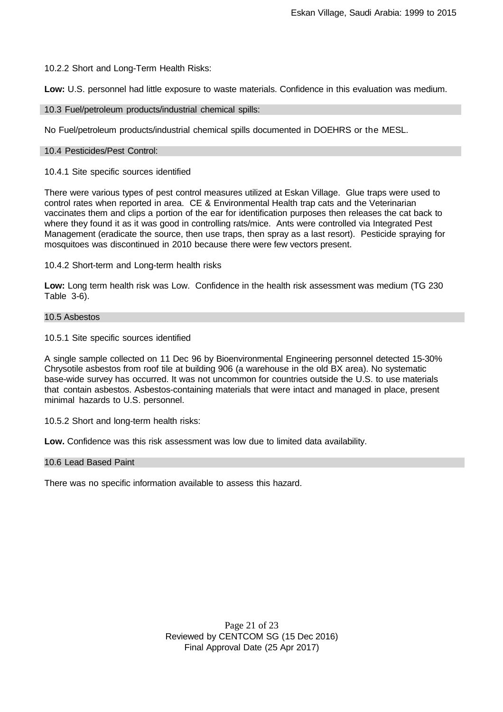10.2.2 Short and Long-Term Health Risks:

**Low:** U.S. personnel had little exposure to waste materials. Confidence in this evaluation was medium.

10.3 Fuel/petroleum products/industrial chemical spills:

No Fuel/petroleum products/industrial chemical spills documented in DOEHRS or the MESL.

#### 10.4 Pesticides/Pest Control:

10.4.1 Site specific sources identified

There were various types of pest control measures utilized at Eskan Village. Glue traps were used to control rates when reported in area. CE & Environmental Health trap cats and the Veterinarian vaccinates them and clips a portion of the ear for identification purposes then releases the cat back to where they found it as it was good in controlling rats/mice. Ants were controlled via Integrated Pest Management (eradicate the source, then use traps, then spray as a last resort). Pesticide spraying for mosquitoes was discontinued in 2010 because there were few vectors present.

10.4.2 Short-term and Long-term health risks

**Low:** Long term health risk was Low. Confidence in the health risk assessment was medium (TG 230 Table 3-6).

## 10.5 Asbestos

10.5.1 Site specific sources identified

A single sample collected on 11 Dec 96 by Bioenvironmental Engineering personnel detected 15-30% Chrysotile asbestos from roof tile at building 906 (a warehouse in the old BX area). No systematic base-wide survey has occurred. It was not uncommon for countries outside the U.S. to use materials that contain asbestos. Asbestos-containing materials that were intact and managed in place, present minimal hazards to U.S. personnel.

10.5.2 Short and long-term health risks:

**Low.** Confidence was this risk assessment was low due to limited data availability.

#### 10.6 Lead Based Paint

There was no specific information available to assess this hazard.

Page 21 of 23 Reviewed by CENTCOM SG (15 Dec 2016) Final Approval Date (25 Apr 2017)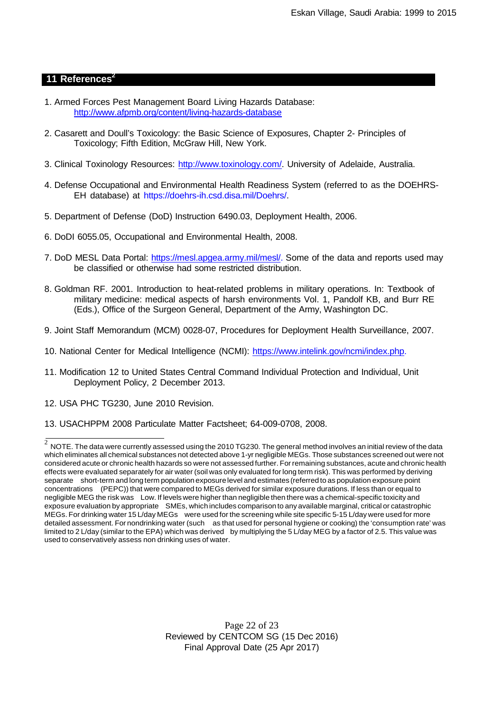## **11** References<sup>2</sup>

- 1. Armed Forces Pest Management Board Living Hazards Database: <http://www.afpmb.org/content/living-hazards-database>
- 2. Casarett and Doull's Toxicology: the Basic Science of Exposures, Chapter 2- Principles of Toxicology; Fifth Edition, McGraw Hill, New York.
- 3. Clinical Toxinology Resources: [http://www.toxinology.com/.](http://www.toxinology.com/) University of Adelaide, Australia.
- 4. Defense Occupational and Environmental Health Readiness System (referred to as the DOEHRS-EH database) at https://doehrs-ih.csd.disa.mil/Doehrs/.
- 5. Department of Defense (DoD) Instruction 6490.03, Deployment Health, 2006.
- 6. DoDI 6055.05, Occupational and Environmental Health, 2008.
- 7. DoD MESL Data Portal: https://mesl.apgea.army.mil/mesl/. Some of the data and reports used may be classified or otherwise had some restricted distribution.
- 8. Goldman RF. 2001. Introduction to heat-related problems in military operations. In: Textbook of military medicine: medical aspects of harsh environments Vol. 1, Pandolf KB, and Burr RE (Eds.), Office of the Surgeon General, Department of the Army, Washington DC.
- 9. Joint Staff Memorandum (MCM) 0028-07, Procedures for Deployment Health Surveillance, 2007.
- 10. National Center for Medical Intelligence (NCMI): https:[//www.intelink.gov/ncmi/index.php.](http://www.intelink.gov/ncmi/index.php)
- 11. Modification 12 to United States Central Command Individual Protection and Individual, Unit Deployment Policy, 2 December 2013.
- 12. USA PHC TG230, June 2010 Revision.
- 13. USACHPPM 2008 Particulate Matter Factsheet; 64-009-0708, 2008.

Page 22 of 23 Reviewed by CENTCOM SG (15 Dec 2016) Final Approval Date (25 Apr 2017)

 $2\,$  NOTE. The data were currently assessed using the 2010 TG230. The general method involves an initial review of the data which eliminates all chemical substances not detected above 1-yr negligible MEGs. Those substances screened out were not considered acute or chronic health hazards so were not assessed further. For remaining substances, acute and chronic health effects were evaluated separately for air water (soil was only evaluated for long term risk). This was performed by deriving separate short-term and long term populationexposure level and estimates (referred to as population exposure point concentrations (PEPC)) that were compared to MEGs derived for similar exposure durations. If less than or equal to negligible MEG the risk was Low. If levels were higher than negligible then there was a chemical-specific toxicity and exposure evaluation by appropriate SMEs, which includes comparison to any available marginal, critical or catastrophic MEGs. For drinking water 15 L/day MEGs were used for the screening while site specific 5-15 L/day were used for more detailed assessment. For nondrinking water (such as that used for personal hygiene or cooking) the 'consumption rate' was limited to 2 L/day (similar to the EPA) which was derived by multiplying the 5 L/day MEG by a factor of 2.5. This value was used to conservatively assess non drinking uses of water.